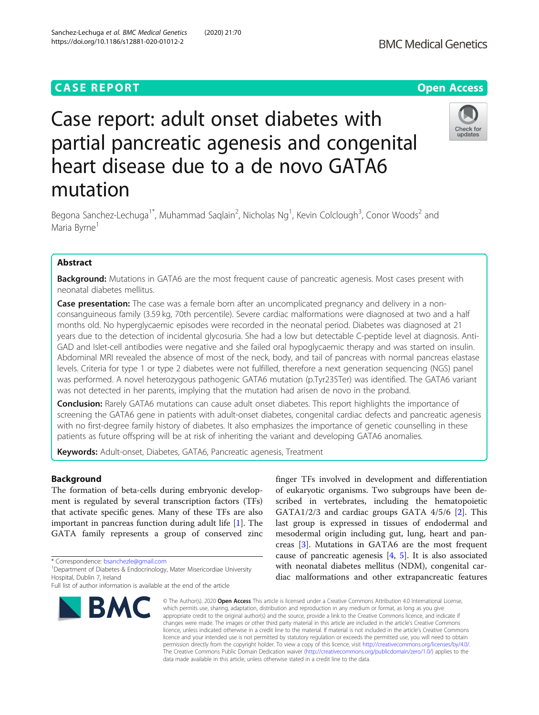# **CASE REPORT CASE ACCESS**

# Case report: adult onset diabetes with partial pancreatic agenesis and congenital heart disease due to a de novo GATA6 mutation

Begona Sanchez-Lechuga<sup>1\*</sup>, Muhammad Saqlain<sup>2</sup>, Nicholas Ng<sup>1</sup>, Kevin Colclough<sup>3</sup>, Conor Woods<sup>2</sup> and Maria Byrne<sup>1</sup>

# Abstract

**Background:** Mutations in GATA6 are the most frequent cause of pancreatic agenesis. Most cases present with neonatal diabetes mellitus.

Case presentation: The case was a female born after an uncomplicated pregnancy and delivery in a nonconsanguineous family (3.59 kg, 70th percentile). Severe cardiac malformations were diagnosed at two and a half months old. No hyperglycaemic episodes were recorded in the neonatal period. Diabetes was diagnosed at 21 years due to the detection of incidental glycosuria. She had a low but detectable C-peptide level at diagnosis. Anti-GAD and Islet-cell antibodies were negative and she failed oral hypoglycaemic therapy and was started on insulin. Abdominal MRI revealed the absence of most of the neck, body, and tail of pancreas with normal pancreas elastase levels. Criteria for type 1 or type 2 diabetes were not fulfilled, therefore a next generation sequencing (NGS) panel was performed. A novel heterozygous pathogenic GATA6 mutation (p.Tyr235Ter) was identified. The GATA6 variant was not detected in her parents, implying that the mutation had arisen de novo in the proband.

Conclusion: Rarely GATA6 mutations can cause adult onset diabetes. This report highlights the importance of screening the GATA6 gene in patients with adult-onset diabetes, congenital cardiac defects and pancreatic agenesis with no first-degree family history of diabetes. It also emphasizes the importance of genetic counselling in these patients as future offspring will be at risk of inheriting the variant and developing GATA6 anomalies.

Keywords: Adult-onset, Diabetes, GATA6, Pancreatic agenesis, Treatment

## Background

The formation of beta-cells during embryonic development is regulated by several transcription factors (TFs) that activate specific genes. Many of these TFs are also important in pancreas function during adult life [[1\]](#page-4-0). The GATA family represents a group of conserved zinc

\* Correspondence: [bsanchezle@gmail.com](mailto:bsanchezle@gmail.com) <sup>1</sup>

**BMC** 

# Sanchez-Lechuga et al. BMC Medical Genetics (2020) 21:70 https://doi.org/10.1186/s12881-020-01012-2

which permits use, sharing, adaptation, distribution and reproduction in any medium or format, as long as you give appropriate credit to the original author(s) and the source, provide a link to the Creative Commons licence, and indicate if changes were made. The images or other third party material in this article are included in the article's Creative Commons licence, unless indicated otherwise in a credit line to the material. If material is not included in the article's Creative Commons licence and your intended use is not permitted by statutory regulation or exceeds the permitted use, you will need to obtain permission directly from the copyright holder. To view a copy of this licence, visit [http://creativecommons.org/licenses/by/4.0/.](http://creativecommons.org/licenses/by/4.0/) The Creative Commons Public Domain Dedication waiver [\(http://creativecommons.org/publicdomain/zero/1.0/](http://creativecommons.org/publicdomain/zero/1.0/)) applies to the data made available in this article, unless otherwise stated in a credit line to the data.

© The Author(s), 2020 **Open Access** This article is licensed under a Creative Commons Attribution 4.0 International License,

finger TFs involved in development and differentiation cause of pancreatic agenesis [\[4](#page-4-0), [5\]](#page-4-0). It is also associated





Check for updates

<sup>&</sup>lt;sup>1</sup> Department of Diabetes & Endocrinology, Mater Misericordiae University Hospital, Dublin 7, Ireland

Full list of author information is available at the end of the article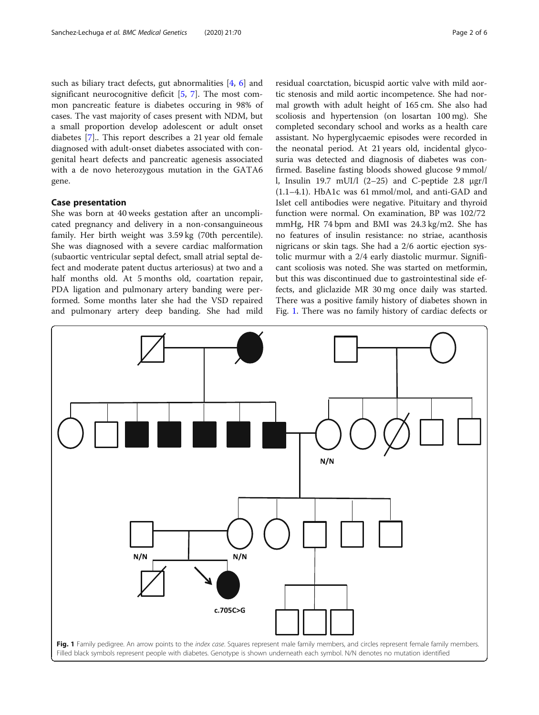<span id="page-1-0"></span>such as biliary tract defects, gut abnormalities [[4](#page-4-0), [6\]](#page-4-0) and significant neurocognitive deficit  $[5, 7]$  $[5, 7]$  $[5, 7]$  $[5, 7]$  $[5, 7]$ . The most common pancreatic feature is diabetes occuring in 98% of cases. The vast majority of cases present with NDM, but a small proportion develop adolescent or adult onset diabetes [[7\]](#page-4-0).. This report describes a 21 year old female diagnosed with adult-onset diabetes associated with congenital heart defects and pancreatic agenesis associated with a de novo heterozygous mutation in the GATA6 gene.

# Case presentation

She was born at 40 weeks gestation after an uncomplicated pregnancy and delivery in a non-consanguineous family. Her birth weight was 3.59 kg (70th percentile). She was diagnosed with a severe cardiac malformation (subaortic ventricular septal defect, small atrial septal defect and moderate patent ductus arteriosus) at two and a half months old. At 5 months old, coartation repair, PDA ligation and pulmonary artery banding were performed. Some months later she had the VSD repaired and pulmonary artery deep banding. She had mild residual coarctation, bicuspid aortic valve with mild aortic stenosis and mild aortic incompetence. She had normal growth with adult height of 165 cm. She also had scoliosis and hypertension (on losartan 100 mg). She completed secondary school and works as a health care assistant. No hyperglycaemic episodes were recorded in the neonatal period. At 21 years old, incidental glycosuria was detected and diagnosis of diabetes was confirmed. Baseline fasting bloods showed glucose 9 mmol/ l, Insulin 19.7 mUI/l (2–25) and C-peptide 2.8 μgr/l (1.1–4.1). HbA1c was 61 mmol/mol, and anti-GAD and Islet cell antibodies were negative. Pituitary and thyroid function were normal. On examination, BP was 102/72 mmHg, HR 74 bpm and BMI was 24.3 kg/m2. She has no features of insulin resistance: no striae, acanthosis nigricans or skin tags. She had a 2/6 aortic ejection systolic murmur with a 2/4 early diastolic murmur. Significant scoliosis was noted. She was started on metformin, but this was discontinued due to gastrointestinal side effects, and gliclazide MR 30 mg once daily was started. There was a positive family history of diabetes shown in Fig. 1. There was no family history of cardiac defects or

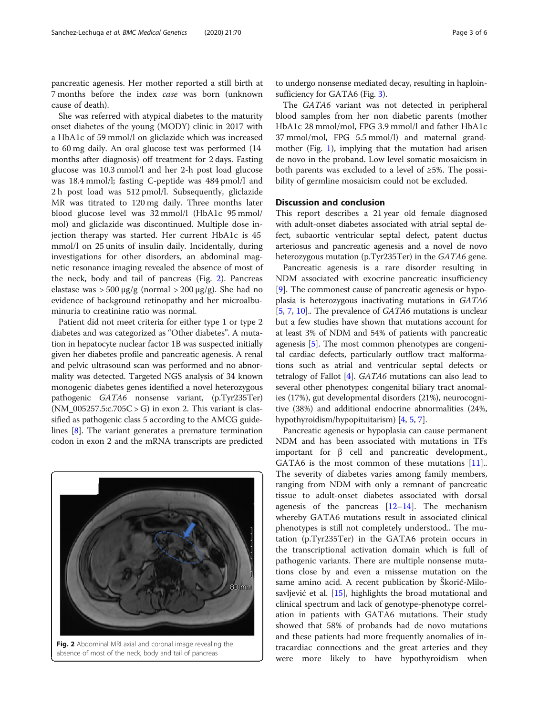pancreatic agenesis. Her mother reported a still birth at 7 months before the index case was born (unknown cause of death).

She was referred with atypical diabetes to the maturity onset diabetes of the young (MODY) clinic in 2017 with a HbA1c of 59 mmol/l on gliclazide which was increased to 60 mg daily. An oral glucose test was performed (14 months after diagnosis) off treatment for 2 days. Fasting glucose was 10.3 mmol/l and her 2-h post load glucose was 18.4 mmol/l; fasting C-peptide was 484 pmol/l and 2 h post load was 512 pmol/l. Subsequently, gliclazide MR was titrated to 120 mg daily. Three months later blood glucose level was 32 mmol/l (HbA1c 95 mmol/ mol) and gliclazide was discontinued. Multiple dose injection therapy was started. Her current HbA1c is 45 mmol/l on 25 units of insulin daily. Incidentally, during investigations for other disorders, an abdominal magnetic resonance imaging revealed the absence of most of the neck, body and tail of pancreas (Fig. 2). Pancreas elastase was > 500 μg/g (normal > 200 μg/g). She had no evidence of background retinopathy and her microalbuminuria to creatinine ratio was normal.

Patient did not meet criteria for either type 1 or type 2 diabetes and was categorized as "Other diabetes". A mutation in hepatocyte nuclear factor 1B was suspected initially given her diabetes profile and pancreatic agenesis. A renal and pelvic ultrasound scan was performed and no abnormality was detected. Targeted NGS analysis of 34 known monogenic diabetes genes identified a novel heterozygous pathogenic GATA6 nonsense variant, (p.Tyr235Ter)  $(NM_005257.5c.705C > G)$  in exon 2. This variant is classified as pathogenic class 5 according to the AMCG guidelines [\[8\]](#page-4-0). The variant generates a premature termination codon in exon 2 and the mRNA transcripts are predicted



to undergo nonsense mediated decay, resulting in haploinsufficiency for GATA6 (Fig. [3\)](#page-3-0).

The GATA6 variant was not detected in peripheral blood samples from her non diabetic parents (mother HbA1c 28 mmol/mol, FPG 3.9 mmol/l and father HbA1c 37 mmol/mol, FPG 5.5 mmol/l) and maternal grandmother (Fig. [1\)](#page-1-0), implying that the mutation had arisen de novo in the proband. Low level somatic mosaicism in both parents was excluded to a level of ≥5%. The possibility of germline mosaicism could not be excluded.

# Discussion and conclusion

This report describes a 21 year old female diagnosed with adult-onset diabetes associated with atrial septal defect, subaortic ventricular septal defect, patent ductus arteriosus and pancreatic agenesis and a novel de novo heterozygous mutation (p.Tyr235Ter) in the GATA6 gene.

Pancreatic agenesis is a rare disorder resulting in NDM associated with exocrine pancreatic insufficiency [[9\]](#page-4-0). The commonest cause of pancreatic agenesis or hypoplasia is heterozygous inactivating mutations in GATA6 [[5,](#page-4-0) [7,](#page-4-0) [10](#page-4-0)].. The prevalence of GATA6 mutations is unclear but a few studies have shown that mutations account for at least 3% of NDM and 54% of patients with pancreatic agenesis [[5\]](#page-4-0). The most common phenotypes are congenital cardiac defects, particularly outflow tract malformations such as atrial and ventricular septal defects or tetralogy of Fallot [\[4\]](#page-4-0). GATA6 mutations can also lead to several other phenotypes: congenital biliary tract anomalies (17%), gut developmental disorders (21%), neurocognitive (38%) and additional endocrine abnormalities (24%, hypothyroidism/hypopituitarism) [\[4,](#page-4-0) [5](#page-4-0), [7\]](#page-4-0).

Pancreatic agenesis or hypoplasia can cause permanent NDM and has been associated with mutations in TFs important for β cell and pancreatic development., GATA6 is the most common of these mutations [\[11](#page-4-0)].. The severity of diabetes varies among family members, ranging from NDM with only a remnant of pancreatic tissue to adult-onset diabetes associated with dorsal agenesis of the pancreas [\[12](#page-4-0)–[14\]](#page-4-0). The mechanism whereby GATA6 mutations result in associated clinical phenotypes is still not completely understood.. The mutation (p.Tyr235Ter) in the GATA6 protein occurs in the transcriptional activation domain which is full of pathogenic variants. There are multiple nonsense mutations close by and even a missense mutation on the same amino acid. A recent publication by Škorić-Milosavljević et al. [\[15](#page-5-0)], highlights the broad mutational and clinical spectrum and lack of genotype-phenotype correlation in patients with GATA6 mutations. Their study showed that 58% of probands had de novo mutations and these patients had more frequently anomalies of intracardiac connections and the great arteries and they were more likely to have hypothyroidism when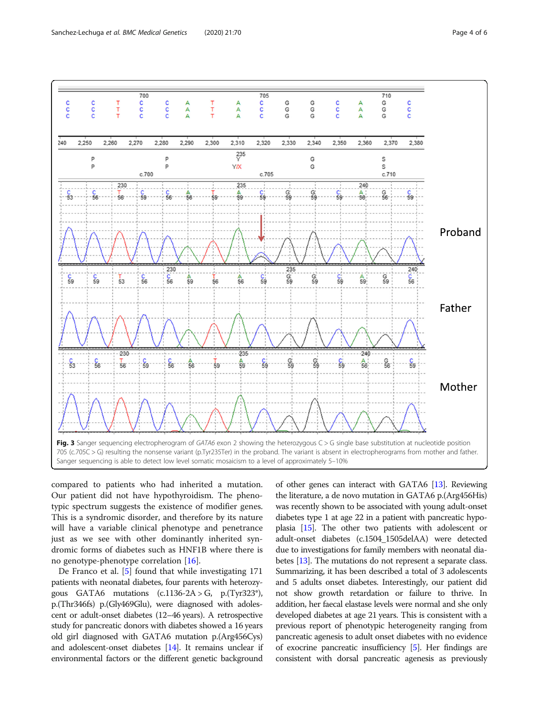<span id="page-3-0"></span>

compared to patients who had inherited a mutation. Our patient did not have hypothyroidism. The phenotypic spectrum suggests the existence of modifier genes. This is a syndromic disorder, and therefore by its nature will have a variable clinical phenotype and penetrance just as we see with other dominantly inherited syndromic forms of diabetes such as HNF1B where there is no genotype-phenotype correlation [[16\]](#page-5-0).

De Franco et al. [[5\]](#page-4-0) found that while investigating 171 patients with neonatal diabetes, four parents with heterozygous GATA6 mutations  $(c.1136-2A > G, p.(Tyr323^*))$ , p.(Thr346fs) p.(Gly469Glu), were diagnosed with adolescent or adult-onset diabetes (12–46 years). A retrospective study for pancreatic donors with diabetes showed a 16 years old girl diagnosed with GATA6 mutation p.(Arg456Cys) and adolescent-onset diabetes [\[14\]](#page-4-0). It remains unclear if environmental factors or the different genetic background of other genes can interact with GATA6 [\[13](#page-4-0)]. Reviewing the literature, a de novo mutation in GATA6 p.(Arg456His) was recently shown to be associated with young adult-onset diabetes type 1 at age 22 in a patient with pancreatic hypoplasia [\[15\]](#page-5-0). The other two patients with adolescent or adult-onset diabetes (c.1504\_1505delAA) were detected due to investigations for family members with neonatal diabetes [\[13\]](#page-4-0). The mutations do not represent a separate class. Summarizing, it has been described a total of 3 adolescents and 5 adults onset diabetes. Interestingly, our patient did not show growth retardation or failure to thrive. In addition, her faecal elastase levels were normal and she only developed diabetes at age 21 years. This is consistent with a previous report of phenotypic heterogeneity ranging from pancreatic agenesis to adult onset diabetes with no evidence of exocrine pancreatic insufficiency [\[5](#page-4-0)]. Her findings are consistent with dorsal pancreatic agenesis as previously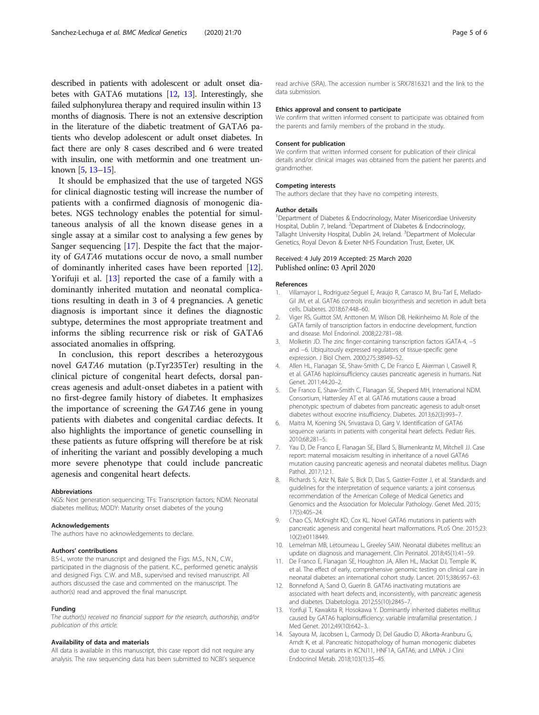<span id="page-4-0"></span>described in patients with adolescent or adult onset diabetes with GATA6 mutations [12, 13]. Interestingly, she failed sulphonylurea therapy and required insulin within 13 months of diagnosis. There is not an extensive description in the literature of the diabetic treatment of GATA6 patients who develop adolescent or adult onset diabetes. In fact there are only 8 cases described and 6 were treated with insulin, one with metformin and one treatment unknown [5, 13–[15](#page-5-0)].

It should be emphasized that the use of targeted NGS for clinical diagnostic testing will increase the number of patients with a confirmed diagnosis of monogenic diabetes. NGS technology enables the potential for simultaneous analysis of all the known disease genes in a single assay at a similar cost to analysing a few genes by Sanger sequencing [[17\]](#page-5-0). Despite the fact that the majority of GATA6 mutations occur de novo, a small number of dominantly inherited cases have been reported [12]. Yorifuji et al. [13] reported the case of a family with a dominantly inherited mutation and neonatal complications resulting in death in 3 of 4 pregnancies. A genetic diagnosis is important since it defines the diagnostic subtype, determines the most appropriate treatment and informs the sibling recurrence risk or risk of GATA6 associated anomalies in offspring.

In conclusion, this report describes a heterozygous novel GATA6 mutation (p.Tyr235Ter) resulting in the clinical picture of congenital heart defects, dorsal pancreas agenesis and adult-onset diabetes in a patient with no first-degree family history of diabetes. It emphasizes the importance of screening the GATA6 gene in young patients with diabetes and congenital cardiac defects. It also highlights the importance of genetic counselling in these patients as future offspring will therefore be at risk of inheriting the variant and possibly developing a much more severe phenotype that could include pancreatic agenesis and congenital heart defects.

#### Abbreviations

NGS: Next generation sequencing; TFs: Transcription factors; NDM: Neonatal diabetes mellitus; MODY: Maturity onset diabetes of the young

#### Acknowledgements

The authors have no acknowledgements to declare.

#### Authors' contributions

B.S-L, wrote the manuscript and designed the Figs. M.S., N.N., C.W., participated in the diagnosis of the patient. K.C., performed genetic analysis and designed Figs. C.W. and M.B., supervised and revised manuscript. All authors discussed the case and commented on the manuscript. The author(s) read and approved the final manuscript.

#### Funding

The author(s) received no financial support for the research, authorship, and/or publication of this article.

#### Availability of data and materials

All data is available in this manuscript, this case report did not require any analysis. The raw sequencing data has been submitted to NCBI's sequence read archive (SRA). The accession number is SRX7816321 and the link to the data submission.

#### Ethics approval and consent to participate

We confirm that written informed consent to participate was obtained from the parents and family members of the proband in the study.

#### Consent for publication

We confirm that written informed consent for publication of their clinical details and/or clinical images was obtained from the patient her parents and grandmother.

#### Competing interests

The authors declare that they have no competing interests.

#### Author details

<sup>1</sup>Department of Diabetes & Endocrinology, Mater Misericordiae University Hospital, Dublin 7, Ireland. <sup>2</sup>Department of Diabetes & Endocrinology, Tallaght University Hospital, Dublin 24, Ireland. <sup>3</sup>Department of Molecular Genetics, Royal Devon & Exeter NHS Foundation Trust, Exeter, UK.

#### Received: 4 July 2019 Accepted: 25 March 2020 Published online: 03 April 2020

#### References

- 1. Villamayor L, Rodriguez-Seguel E, Araujo R, Carrasco M, Bru-Tarí E, Mellado-Gil JM, et al. GATA6 controls insulin biosynthesis and secretion in adult beta cells. Diabetes. 2018;67:448–60.
- 2. Viger RS, Guittot SM, Anttonen M, Wilson DB, Heikinheimo M. Role of the GATA family of transcription factors in endocrine development, function and disease. Mol Endorinol. 2008;22:781–98.
- 3. Molketin JD. The zinc finger-containing transcription factors iGATA-4, −5 and −6. Ubiquitously expressed regulators of tissue-specific gene expression. J Biol Chem. 2000;275:38949–52.
- 4. Allen HL, Flanagan SE, Shaw-Smith C, De Franco E, Akerman I, Caswell R, et al. GATA6 haploinsufficiency causes pancreatic agenesis in humans. Nat Genet. 2011;44:20–2.
- 5. De Franco E, Shaw-Smith C, Flanagan SE, Sheperd MH, International NDM. Consortium, Hattersley AT et al. GATA6 mutations cause a broad phenotypic spectrum of diabetes from pancreatic agenesis to adult-onset diabetes without exocrine insufficiency. Diabetes. 2013;62(3):993–7.
- 6. Maitra M, Koening SN, Srivastava D, Garg V. Identification of GATA6 sequence variants in patients with congenital heart defects. Pediatr Res. 2010;68:281–5.
- 7. Yau D, De Franco E, Flanagan SE, Ellard S, Blumenkrantz M, Mitchell JJ. Case report: maternal mosaicism resulting in inheritance of a novel GATA6 mutation causing pancreatic agenesis and neonatal diabetes mellitus. Diagn Pathol. 2017;12:1.
- 8. Richards S, Aziz N, Bale S, Bick D, Das S, Gastier-Foster J, et al. Standards and guidelines for the interpretation of sequence variants: a joint consensus recommendation of the American College of Medical Genetics and Genomics and the Association for Molecular Pathology. Genet Med. 2015; 17(5):405–24.
- 9. Chao CS, McKnight KD, Cox KL. Novel GATA6 mutations in patients with pancreatic agenesis and congenital heart malformations. PLoS One. 2015;23: 10(2):e0118449.
- 10. Lemelman MB, Letourneau L, Greeley SAW. Neonatal diabetes mellitus: an update on diagnosis and management. Clin Perinatol. 2018;45(1):41–59.
- 11. De Franco E, Flanagan SE, Houghton JA, Allen HL, Mackat DJ, Temple IK, et al. The effect of early, comprehensive genomic testing on clinical care in neonatal diabetes: an international cohort study. Lancet. 2015;386:957–63.
- 12. Bonnefond A, Sand O, Guerin B. GATA6 inactivating mutations are associated with heart defects and, inconsistently, with pancreatic agenesis and diabetes. Diabetologia. 2012;55(10):2845–7.
- 13. Yorifuji T, Kawakita R, Hosokawa Y. Dominantly inherited diabetes mellitus caused by GATA6 haploinsufficiency: variable intrafamilial presentation. J Med Genet. 2012;49(10):642–3.
- 14. Sayoura M, Jacobsen L, Carmody D, Del Gaudio D, Alkorta-Aranburu G, Arndt K, et al. Pancreatic histopathology of human monogenic diabetes due to causal variants in KCNJ11, HNF1A, GATA6, and LMNA. J Clini Endocrinol Metab. 2018;103(1):35–45.